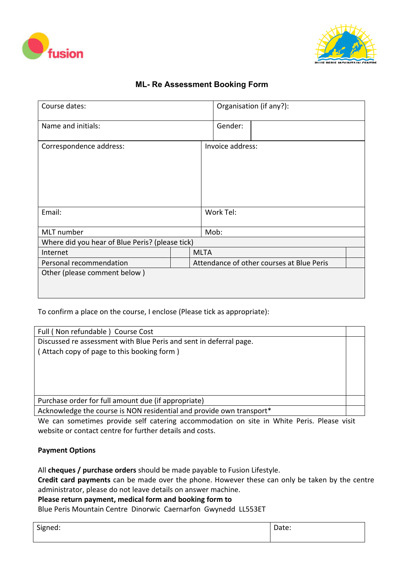



## **ML- Re Assessment Booking Form**

| Course dates:                                   |  | Organisation (if any?):                   |                  |  |  |
|-------------------------------------------------|--|-------------------------------------------|------------------|--|--|
| Name and initials:                              |  |                                           | Gender:          |  |  |
| Correspondence address:                         |  |                                           | Invoice address: |  |  |
| Email:                                          |  |                                           | Work Tel:        |  |  |
| MLT number                                      |  |                                           | Mob:             |  |  |
| Where did you hear of Blue Peris? (please tick) |  |                                           |                  |  |  |
| Internet                                        |  | <b>MLTA</b>                               |                  |  |  |
| Personal recommendation                         |  | Attendance of other courses at Blue Peris |                  |  |  |
| Other (please comment below)                    |  |                                           |                  |  |  |

To confirm a place on the course, I enclose (Please tick as appropriate):

| Full (Non refundable) Course Cost                                    |  |  |
|----------------------------------------------------------------------|--|--|
| Discussed re assessment with Blue Peris and sent in deferral page.   |  |  |
| (Attach copy of page to this booking form)                           |  |  |
|                                                                      |  |  |
|                                                                      |  |  |
|                                                                      |  |  |
|                                                                      |  |  |
| Purchase order for full amount due (if appropriate)                  |  |  |
| Acknowledge the course is NON residential and provide own transport* |  |  |

We can sometimes provide self catering accommodation on site in White Peris. Please visit website or contact centre for further details and costs.

### **Payment Options**

All **cheques** / purchase orders should be made payable to Fusion Lifestyle.

**Credit card payments** can be made over the phone. However these can only be taken by the centre administrator, please do not leave details on answer machine.

#### Please return payment, medical form and booking form to

Blue Peris Mountain Centre Dinorwic Caernarfon Gwynedd LL553ET

| Signed: | Date: |
|---------|-------|
|         |       |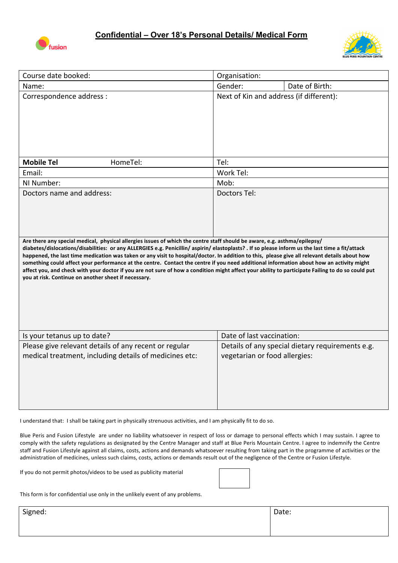



| Course date booked:                                                                                                                                                                                                                                                                                                                                                                                                                                                                                                                                                                                                                                                                                                                                                                                                | Organisation:                                                                     |
|--------------------------------------------------------------------------------------------------------------------------------------------------------------------------------------------------------------------------------------------------------------------------------------------------------------------------------------------------------------------------------------------------------------------------------------------------------------------------------------------------------------------------------------------------------------------------------------------------------------------------------------------------------------------------------------------------------------------------------------------------------------------------------------------------------------------|-----------------------------------------------------------------------------------|
| Name:                                                                                                                                                                                                                                                                                                                                                                                                                                                                                                                                                                                                                                                                                                                                                                                                              | Gender:<br>Date of Birth:                                                         |
| Correspondence address :                                                                                                                                                                                                                                                                                                                                                                                                                                                                                                                                                                                                                                                                                                                                                                                           | Next of Kin and address (if different):                                           |
| <b>Mobile Tel</b><br>HomeTel:                                                                                                                                                                                                                                                                                                                                                                                                                                                                                                                                                                                                                                                                                                                                                                                      | Tel:                                                                              |
| Email:                                                                                                                                                                                                                                                                                                                                                                                                                                                                                                                                                                                                                                                                                                                                                                                                             | Work Tel:                                                                         |
| NI Number:                                                                                                                                                                                                                                                                                                                                                                                                                                                                                                                                                                                                                                                                                                                                                                                                         | Mob:                                                                              |
| Doctors name and address:<br>Are there any special medical, physical allergies issues of which the centre staff should be aware, e.g. asthma/epilepsy/<br>diabetes/dislocations/disabilities: or any ALLERGIES e.g. Penicillin/aspirin/elastoplasts? . If so please inform us the last time a fit/attack<br>happened, the last time medication was taken or any visit to hospital/doctor. In addition to this, please give all relevant details about how<br>something could affect your performance at the centre. Contact the centre if you need additional information about how an activity might<br>affect you, and check with your doctor if you are not sure of how a condition might affect your ability to participate Failing to do so could put<br>you at risk. Continue on another sheet if necessary. | Doctors Tel:                                                                      |
|                                                                                                                                                                                                                                                                                                                                                                                                                                                                                                                                                                                                                                                                                                                                                                                                                    |                                                                                   |
| Is your tetanus up to date?                                                                                                                                                                                                                                                                                                                                                                                                                                                                                                                                                                                                                                                                                                                                                                                        | Date of last vaccination:                                                         |
| Please give relevant details of any recent or regular<br>medical treatment, including details of medicines etc:                                                                                                                                                                                                                                                                                                                                                                                                                                                                                                                                                                                                                                                                                                    | Details of any special dietary requirements e.g.<br>vegetarian or food allergies: |
|                                                                                                                                                                                                                                                                                                                                                                                                                                                                                                                                                                                                                                                                                                                                                                                                                    |                                                                                   |

I understand that: I shall be taking part in physically strenuous activities, and I am physically fit to do so.

Blue Peris and Fusion Lifestyle are under no liability whatsoever in respect of loss or damage to personal effects which I may sustain. I agree to comply with the safety regulations as designated by the Centre Manager and staff at Blue Peris Mountain Centre. I agree to indemnify the Centre staff and Fusion Lifestyle against all claims, costs, actions and demands whatsoever resulting from taking part in the programme of activities or the administration of medicines, unless such claims, costs, actions or demands result out of the negligence of the Centre or Fusion Lifestyle.

If you do not permit photos/videos to be used as publicity material



This form is for confidential use only in the unlikely event of any problems.

Signed: Date: